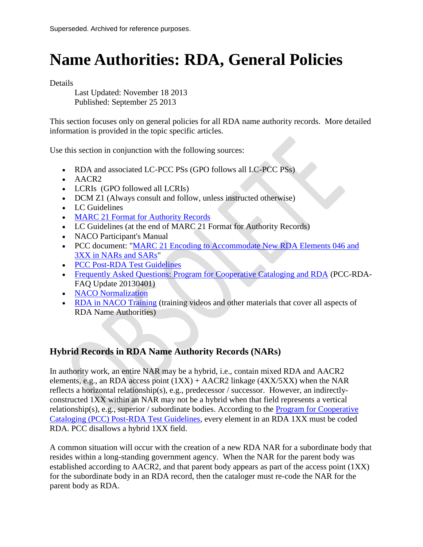# **Name Authorities: RDA, General Policies**

Details

Last Updated: November 18 2013 Published: September 25 2013

This section focuses only on general policies for all RDA name authority records. More detailed information is provided in the topic specific articles.

Use this section in conjunction with the following sources:

- RDA and associated LC-PCC PSs (GPO follows all LC-PCC PSs)
- AACR2
- LCRIs (GPO followed all LCRIs)
- DCM Z1 (Always consult and follow, unless instructed otherwise)
- LC Guidelines
- MARC 21 Format for Authority Records
- LC Guidelines (at the end of MARC 21 Format for Authority Records)
- NACO Participant's Manual
- PCC document: "MARC 21 Encoding to Accommodate New RDA Elements 046 and [3XX in NARs and SARs"](http://loc.gov/aba/pcc/rda/PCC%20RDA%20guidelines/RDA%20in%20NARs-SARs_PCC.pdf)
- PCC Post-RDA Test Guidelines
- [Frequently Asked Questions: Program for Cooperative Cataloging and RDA](http://www.loc.gov/aba/pcc/rda/PCC-RDA-FAQ%20Update%2020130401.doc) (PCC-RDA-FAQ Update 20130401)
- [NACO Normalization](http://www.loc.gov/aba/pcc/naco/Normalization.html)
- [RDA in NACO Training](http://www.loc.gov/catworkshop/courses/rda_naco/course%20table.html) (training videos and other materials that cover all aspects of RDA Name Authorities)

# **Hybrid Records in RDA Name Authority Records (NARs)**

In authority work, an entire NAR may be a hybrid, i.e., contain mixed RDA and AACR2 elements, e.g., an RDA access point  $(1XX) + AACR2$  linkage  $(4XX/5XX)$  when the NAR reflects a horizontal relationship(s), e.g., predecessor / successor. However, an indirectlyconstructed 1XX within an NAR may not be a hybrid when that field represents a vertical relationship(s), e.g., superior / subordinate bodies. According to the [Program for Cooperative](http://www.loc.gov/aba/pcc/rda/PCC%20Post%20RDA%20Test%20Guidelines.html)  [Cataloging \(PCC\) Post-RDA Test Guidelines,](http://www.loc.gov/aba/pcc/rda/PCC%20Post%20RDA%20Test%20Guidelines.html) every element in an RDA 1XX must be coded RDA. PCC disallows a hybrid 1XX field.

A common situation will occur with the creation of a new RDA NAR for a subordinate body that resides within a long-standing government agency. When the NAR for the parent body was established according to AACR2, and that parent body appears as part of the access point (1XX) for the subordinate body in an RDA record, then the cataloger must re-code the NAR for the parent body as RDA.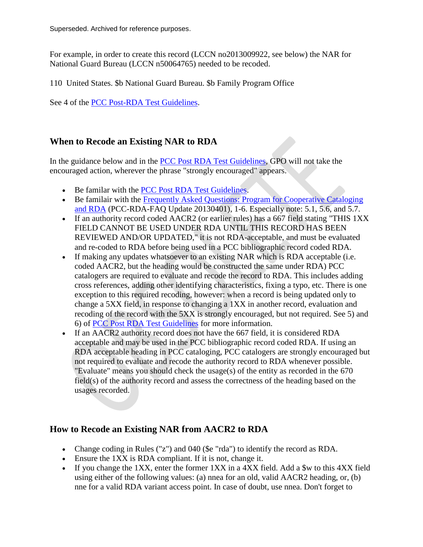For example, in order to create this record (LCCN no2013009922, see below) the NAR for National Guard Bureau (LCCN n50064765) needed to be recoded.

110 United States. \$b National Guard Bureau. \$b Family Program Office

See 4 of the [PCC Post-RDA Test Guidelines.](http://www.loc.gov/aba/pcc/rda/PCC%20Post%20RDA%20Test%20Guidelines.html)

# **When to Recode an Existing NAR to RDA**

In the guidance below and in the [PCC Post RDA Test Guidelines,](http://www.loc.gov/aba/pcc/rda/PCC%20Post%20RDA%20Test%20Guidelines.html) GPO will not take the encouraged action, wherever the phrase "strongly encouraged" appears.

- Be familar with the [PCC Post RDA Test Guidelines.](http://www.loc.gov/aba/pcc/rda/PCC%20Post%20RDA%20Test%20Guidelines.html)
- Be familair with the Frequently Asked Questions: Program for Cooperative Cataloging [and RDA](http://www.loc.gov/aba/pcc/rda/PCC-RDA-FAQ%20Update%2020130401.doc) (PCC-RDA-FAQ Update 20130401), 1-6. Especially note: 5.1, 5.6, and 5.7.
- If an authority record coded AACR2 (or earlier rules) has a 667 field stating "THIS 1XX FIELD CANNOT BE USED UNDER RDA UNTIL THIS RECORD HAS BEEN REVIEWED AND/OR UPDATED," it is not RDA-acceptable, and must be evaluated and re-coded to RDA before being used in a PCC bibliographic record coded RDA.
- If making any updates whatsoever to an existing NAR which is RDA acceptable (i.e. coded AACR2, but the heading would be constructed the same under RDA) PCC catalogers are required to evaluate and recode the record to RDA. This includes adding cross references, adding other identifying characteristics, fixing a typo, etc. There is one exception to this required recoding, however: when a record is being updated only to change a 5XX field, in response to changing a 1XX in another record, evaluation and recoding of the record with the 5XX is strongly encouraged, but not required. See 5) and 6) of [PCC Post RDA Test Guidelines](http://www.loc.gov/aba/pcc/rda/PCC%20Post%20RDA%20Test%20Guidelines.html) for more information.
- If an AACR2 authority record does not have the 667 field, it is considered RDA acceptable and may be used in the PCC bibliographic record coded RDA. If using an RDA acceptable heading in PCC cataloging, PCC catalogers are strongly encouraged but not required to evaluate and recode the authority record to RDA whenever possible. "Evaluate" means you should check the usage(s) of the entity as recorded in the 670 field(s) of the authority record and assess the correctness of the heading based on the usages recorded.

# **How to Recode an Existing NAR from AACR2 to RDA**

- Change coding in Rules ("z") and 040 (\$e "rda") to identify the record as RDA.
- Ensure the 1XX is RDA compliant. If it is not, change it.
- If you change the 1XX, enter the former 1XX in a 4XX field. Add a \$w to this 4XX field using either of the following values: (a) nnea for an old, valid AACR2 heading, or, (b) nne for a valid RDA variant access point. In case of doubt, use nnea. Don't forget to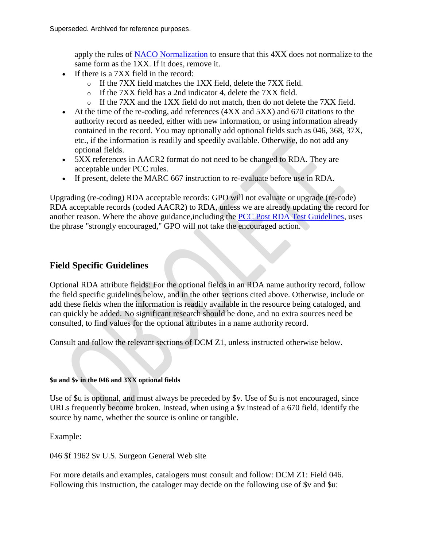apply the rules of [NACO Normalization](http://www.loc.gov/aba/pcc/naco/Normalization.html) to ensure that this 4XX does not normalize to the same form as the 1XX. If it does, remove it.

- If there is a 7XX field in the record:
	- o If the 7XX field matches the 1XX field, delete the 7XX field.
	- o If the 7XX field has a 2nd indicator 4, delete the 7XX field.
	- $\circ$  If the 7XX and the 1XX field do not match, then do not delete the 7XX field.
- At the time of the re-coding, add references (4XX and 5XX) and 670 citations to the authority record as needed, either with new information, or using information already contained in the record. You may optionally add optional fields such as 046, 368, 37X, etc., if the information is readily and speedily available. Otherwise, do not add any optional fields.
- 5XX references in AACR2 format do not need to be changed to RDA. They are acceptable under PCC rules.
- If present, delete the MARC 667 instruction to re-evaluate before use in RDA.

Upgrading (re-coding) RDA acceptable records: GPO will not evaluate or upgrade (re-code) RDA acceptable records (coded AACR2) to RDA, unless we are already updating the record for another reason. Where the above guidance,including the [PCC Post RDA Test Guidelines,](http://www.loc.gov/aba/pcc/rda/PCC%20Post%20RDA%20Test%20Guidelines.html) uses the phrase "strongly encouraged," GPO will not take the encouraged action.

# **Field Specific Guidelines**

Optional RDA attribute fields: For the optional fields in an RDA name authority record, follow the field specific guidelines below, and in the other sections cited above. Otherwise, include or add these fields when the information is readily available in the resource being cataloged, and can quickly be added. No significant research should be done, and no extra sources need be consulted, to find values for the optional attributes in a name authority record.

Consult and follow the relevant sections of DCM Z1, unless instructed otherwise below.

## **\$u and \$v in the 046 and 3XX optional fields**

Use of \$u is optional, and must always be preceded by \$v. Use of \$u is not encouraged, since URLs frequently become broken. Instead, when using a \$v instead of a 670 field, identify the source by name, whether the source is online or tangible.

Example:

046 \$f 1962 \$v U.S. Surgeon General Web site

For more details and examples, catalogers must consult and follow: DCM Z1: Field 046. Following this instruction, the cataloger may decide on the following use of \$v and \$u: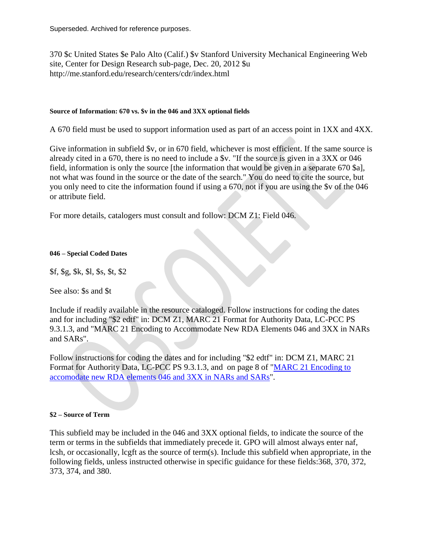370 \$c United States \$e Palo Alto (Calif.) \$v Stanford University Mechanical Engineering Web site, Center for Design Research sub-page, Dec. 20, 2012 \$u http://me.stanford.edu/research/centers/cdr/index.html

#### **Source of Information: 670 vs. \$v in the 046 and 3XX optional fields**

A 670 field must be used to support information used as part of an access point in 1XX and 4XX.

Give information in subfield \$v, or in 670 field, whichever is most efficient. If the same source is already cited in a 670, there is no need to include a \$v. "If the source is given in a 3XX or 046 field, information is only the source [the information that would be given in a separate 670 \$a], not what was found in the source or the date of the search." You do need to cite the source, but you only need to cite the information found if using a 670, not if you are using the \$v of the 046 or attribute field.

For more details, catalogers must consult and follow: DCM Z1: Field 046.

#### **046 – Special Coded Dates**

\$f, \$g, \$k, \$l, \$s, \$t, \$2

See also: \$s and \$t

Include if readily available in the resource cataloged. Follow instructions for coding the dates and for including "\$2 edtf" in: DCM Z1, MARC 21 Format for Authority Data, LC-PCC PS 9.3.1.3, and "MARC 21 Encoding to Accommodate New RDA Elements 046 and 3XX in NARs and SARs".

Follow instructions for coding the dates and for including "\$2 edtf" in: DCM Z1, MARC 21 Format for Authority Data, LC-PCC PS 9.3.1.3, and on page 8 of ["MARC 21 Encoding to](http://www.loc.gov/aba/pcc/rda/PCC%20RDA%20guidelines/RDA%20in%20NARs-SARs_PCC.pdf)  [accomodate new RDA elements 046 and 3XX in NARs and SARs"](http://www.loc.gov/aba/pcc/rda/PCC%20RDA%20guidelines/RDA%20in%20NARs-SARs_PCC.pdf).

#### **\$2 – Source of Term**

This subfield may be included in the 046 and 3XX optional fields, to indicate the source of the term or terms in the subfields that immediately precede it. GPO will almost always enter naf, lcsh, or occasionally, lcgft as the source of term(s). Include this subfield when appropriate, in the following fields, unless instructed otherwise in specific guidance for these fields:368, 370, 372, 373, 374, and 380.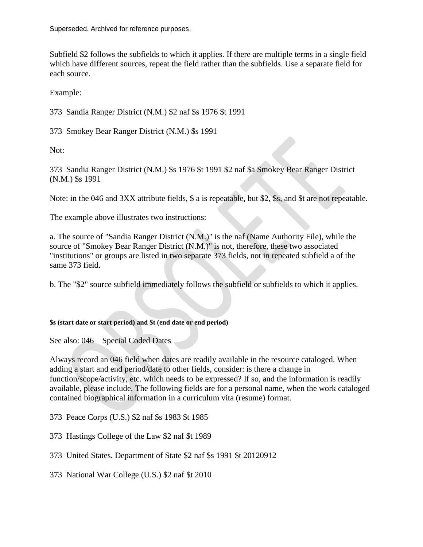Subfield \$2 follows the subfields to which it applies. If there are multiple terms in a single field which have different sources, repeat the field rather than the subfields. Use a separate field for each source.

Example:

373 Sandia Ranger District (N.M.) \$2 naf \$s 1976 \$t 1991

373 Smokey Bear Ranger District (N.M.) \$s 1991

Not:

373 Sandia Ranger District (N.M.) \$s 1976 \$t 1991 \$2 naf \$a Smokey Bear Ranger District (N.M.) \$s 1991

Note: in the 046 and 3XX attribute fields, \$ a is repeatable, but \$2, \$s, and \$t are not repeatable.

The example above illustrates two instructions:

a. The source of "Sandia Ranger District (N.M.)" is the naf (Name Authority File), while the source of "Smokey Bear Ranger District (N.M.)" is not, therefore, these two associated "institutions" or groups are listed in two separate 373 fields, not in repeated subfield a of the same 373 field.

b. The "\$2" source subfield immediately follows the subfield or subfields to which it applies.

## **\$s (start date or start period) and \$t (end date or end period)**

See also: 046 – Special Coded Dates

Always record an 046 field when dates are readily available in the resource cataloged. When adding a start and end period/date to other fields, consider: is there a change in function/scope/activity, etc. which needs to be expressed? If so, and the information is readily available, please include. The following fields are for a personal name, when the work cataloged contained biographical information in a curriculum vita (resume) format.

373 Peace Corps (U.S.) \$2 naf \$s 1983 \$t 1985

373 Hastings College of the Law \$2 naf \$t 1989

373 United States. Department of State \$2 naf \$s 1991 \$t 20120912

373 National War College (U.S.) \$2 naf \$t 2010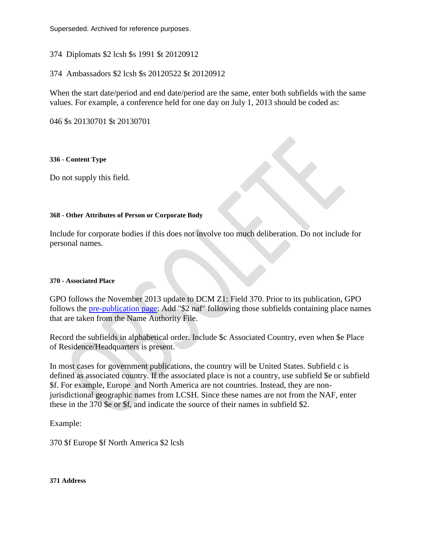374 Diplomats \$2 lcsh \$s 1991 \$t 20120912

374 Ambassadors \$2 lcsh \$s 20120522 \$t 20120912

When the start date/period and end date/period are the same, enter both subfields with the same values. For example, a conference held for one day on July 1, 2013 should be coded as:

046 \$s 20130701 \$t 20130701

**336 - Content Type**

Do not supply this field.

#### **368 - Other Attributes of Person or Corporate Body**

Include for corporate bodies if this does not involve too much deliberation. Do not include for personal names.

#### **370 - Associated Place**

GPO follows the November 2013 update to DCM Z1: Field 370. Prior to its publication, GPO follows the [pre-publication page:](http://www.loc.gov/aba/pcc/rda/PCC%20RDA%20guidelines/Z01%20370%202013nov.pdf) Add "\$2 naf" following those subfields containing place names that are taken from the Name Authority File.

Record the subfields in alphabetical order. Include \$c Associated Country, even when \$e Place of Residence/Headquarters is present.

In most cases for government publications, the country will be United States. Subfield c is defined as associated country. If the associated place is not a country, use subfield \$e or subfield \$f. For example, Europe and North America are not countries. Instead, they are nonjurisdictional geographic names from LCSH. Since these names are not from the NAF, enter these in the 370 \$e or \$f, and indicate the source of their names in subfield \$2.

Example:

370 \$f Europe \$f North America \$2 lcsh

**371 Address**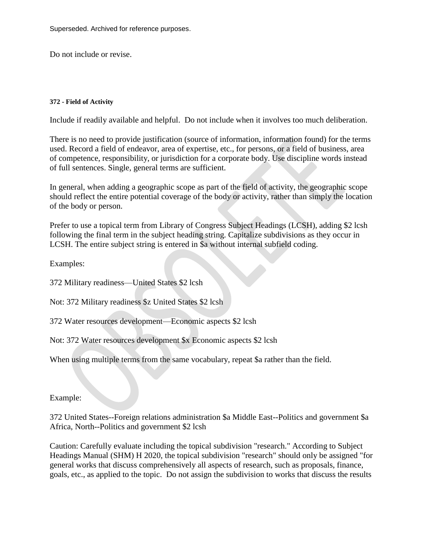Do not include or revise.

#### **372 - Field of Activity**

Include if readily available and helpful. Do not include when it involves too much deliberation.

There is no need to provide justification (source of information, information found) for the terms used. Record a field of endeavor, area of expertise, etc., for persons, or a field of business, area of competence, responsibility, or jurisdiction for a corporate body. Use discipline words instead of full sentences. Single, general terms are sufficient.

In general, when adding a geographic scope as part of the field of activity, the geographic scope should reflect the entire potential coverage of the body or activity, rather than simply the location of the body or person.

Prefer to use a topical term from Library of Congress Subject Headings (LCSH), adding \$2 lcsh following the final term in the subject heading string. Capitalize subdivisions as they occur in LCSH. The entire subject string is entered in \$a without internal subfield coding.

Examples:

372 Military readiness—United States \$2 lcsh

Not: 372 Military readiness \$z United States \$2 lcsh

372 Water resources development—Economic aspects \$2 lcsh

Not: 372 Water resources development \$x Economic aspects \$2 lcsh

When using multiple terms from the same vocabulary, repeat \$a rather than the field.

Example:

372 United States--Foreign relations administration \$a Middle East--Politics and government \$a Africa, North--Politics and government \$2 lcsh

Caution: Carefully evaluate including the topical subdivision "research." According to Subject Headings Manual (SHM) H 2020, the topical subdivision "research" should only be assigned "for general works that discuss comprehensively all aspects of research, such as proposals, finance, goals, etc., as applied to the topic. Do not assign the subdivision to works that discuss the results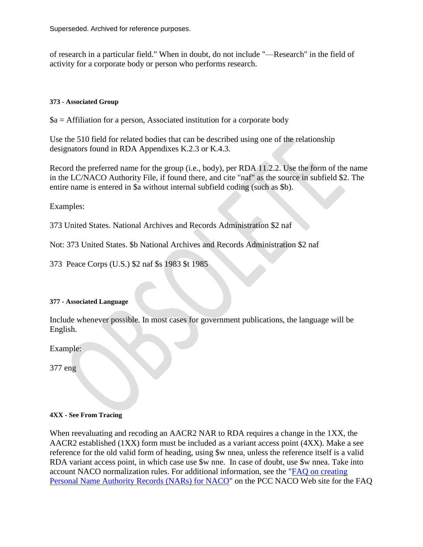of research in a particular field." When in doubt, do not include "—Research" in the field of activity for a corporate body or person who performs research.

# **373 - Associated Group**

 $a =$  Affiliation for a person, Associated institution for a corporate body

Use the 510 field for related bodies that can be described using one of the relationship designators found in RDA Appendixes K.2.3 or K.4.3.

Record the preferred name for the group (i.e., body), per RDA 11.2.2. Use the form of the name in the LC/NACO Authority File, if found there, and cite "naf" as the source in subfield \$2. The entire name is entered in \$a without internal subfield coding (such as \$b).

Examples:

373 United States. National Archives and Records Administration \$2 naf

Not: 373 United States. \$b National Archives and Records Administration \$2 naf

373 Peace Corps (U.S.) \$2 naf \$s 1983 \$t 1985

## **377 - Associated Language**

Include whenever possible. In most cases for government publications, the language will be English.

Example:

377 eng

## **4XX - See From Tracing**

When reevaluating and recoding an AACR2 NAR to RDA requires a change in the 1XX, the AACR2 established (1XX) form must be included as a variant access point (4XX). Make a see reference for the old valid form of heading, using \$w nnea, unless the reference itself is a valid RDA variant access point, in which case use  $\mathcal{F}$  w nne. In case of doubt, use  $\mathcal{F}$  w nnea. Take into account NACO normalization rules. For additional information, see the ["FAQ on creating](http://www.loc.gov/aba/pcc/naco/personnamefaq.html)  [Personal Name Authority Records \(NARs\) for NACO"](http://www.loc.gov/aba/pcc/naco/personnamefaq.html) on the PCC NACO Web site for the FAQ